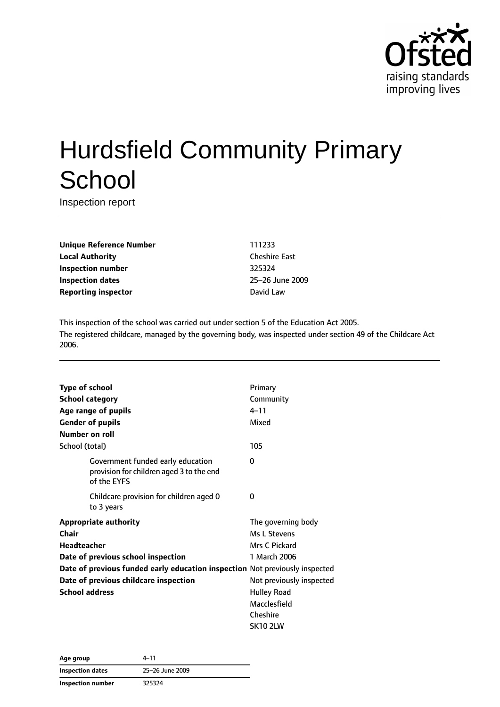

# Hurdsfield Community Primary **School**

Inspection report

**Unique Reference Number** 111233 **Local Authority** Cheshire East **Inspection number** 325324 **Inspection dates** 25–26 June 2009 **Reporting inspector David Law** 

This inspection of the school was carried out under section 5 of the Education Act 2005. The registered childcare, managed by the governing body, was inspected under section 49 of the Childcare Act 2006.

| <b>Type of school</b>                                                                        | Primary                  |
|----------------------------------------------------------------------------------------------|--------------------------|
| <b>School category</b>                                                                       | Community                |
| Age range of pupils                                                                          | $4 - 11$                 |
| <b>Gender of pupils</b>                                                                      | Mixed                    |
| Number on roll                                                                               |                          |
| School (total)                                                                               | 105                      |
| Government funded early education<br>provision for children aged 3 to the end<br>of the EYFS | 0                        |
| Childcare provision for children aged 0<br>to 3 years                                        | 0                        |
| <b>Appropriate authority</b>                                                                 | The governing body       |
| Chair                                                                                        | Ms L Stevens             |
| Headteacher                                                                                  | Mrs C Pickard            |
| Date of previous school inspection                                                           | 1 March 2006             |
| Date of previous funded early education inspection Not previously inspected                  |                          |
| Date of previous childcare inspection                                                        | Not previously inspected |
| <b>School address</b>                                                                        | <b>Hulley Road</b>       |
|                                                                                              | Macclesfield             |
|                                                                                              | Cheshire                 |
|                                                                                              | <b>SK10 2LW</b>          |

| Age group         | 4–11<br>25-26 June 2009 |  |
|-------------------|-------------------------|--|
| Inspection dates  |                         |  |
| Inspection number | 325324                  |  |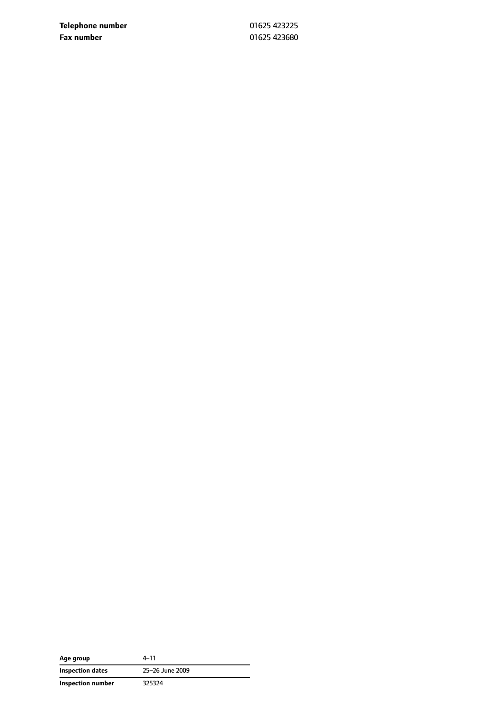**Telephone number** 01625 423225 **Fax number** 01625 423680

| Age group         | $4 - 11$        |
|-------------------|-----------------|
| Inspection dates  | 25-26 June 2009 |
| Inspection number | 325324          |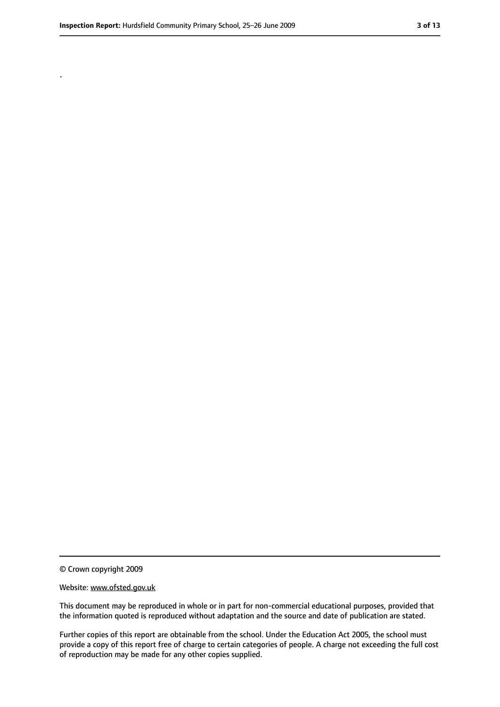.

<sup>©</sup> Crown copyright 2009

Website: www.ofsted.gov.uk

This document may be reproduced in whole or in part for non-commercial educational purposes, provided that the information quoted is reproduced without adaptation and the source and date of publication are stated.

Further copies of this report are obtainable from the school. Under the Education Act 2005, the school must provide a copy of this report free of charge to certain categories of people. A charge not exceeding the full cost of reproduction may be made for any other copies supplied.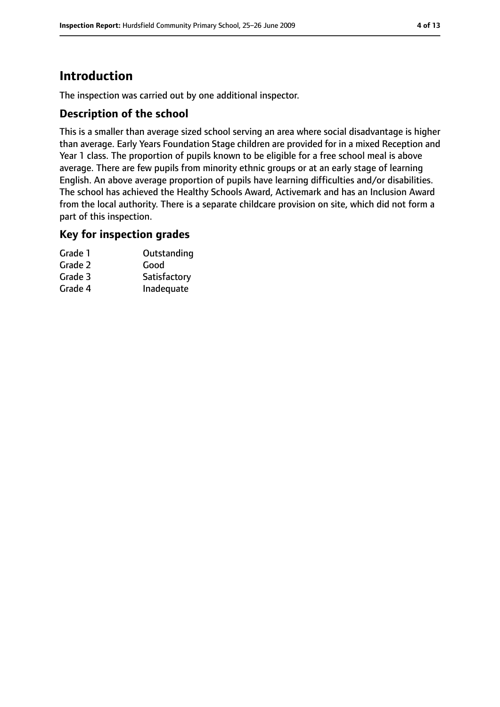# **Introduction**

The inspection was carried out by one additional inspector.

## **Description of the school**

This is a smaller than average sized school serving an area where social disadvantage is higher than average. Early Years Foundation Stage children are provided for in a mixed Reception and Year 1 class. The proportion of pupils known to be eligible for a free school meal is above average. There are few pupils from minority ethnic groups or at an early stage of learning English. An above average proportion of pupils have learning difficulties and/or disabilities. The school has achieved the Healthy Schools Award, Activemark and has an Inclusion Award from the local authority. There is a separate childcare provision on site, which did not form a part of this inspection.

## **Key for inspection grades**

| Grade 1 | Outstanding  |
|---------|--------------|
| Grade 2 | Good         |
| Grade 3 | Satisfactory |
| Grade 4 | Inadequate   |
|         |              |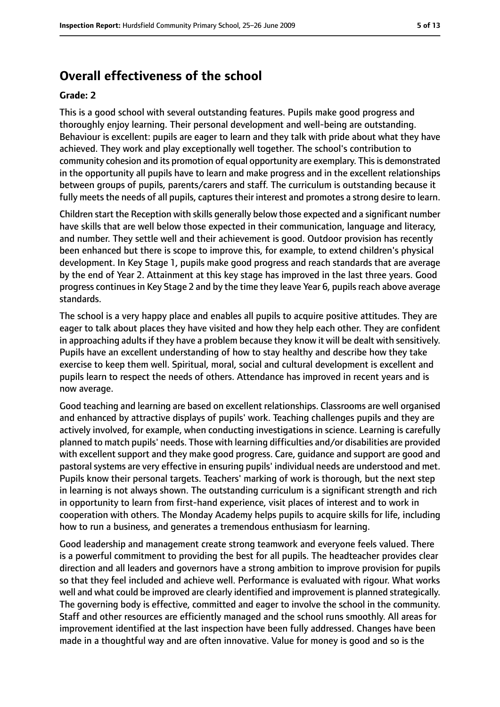# **Overall effectiveness of the school**

#### **Grade: 2**

This is a good school with several outstanding features. Pupils make good progress and thoroughly enjoy learning. Their personal development and well-being are outstanding. Behaviour is excellent: pupils are eager to learn and they talk with pride about what they have achieved. They work and play exceptionally well together. The school's contribution to community cohesion and its promotion of equal opportunity are exemplary. This is demonstrated in the opportunity all pupils have to learn and make progress and in the excellent relationships between groups of pupils, parents/carers and staff. The curriculum is outstanding because it fully meets the needs of all pupils, captures their interest and promotes a strong desire to learn.

Children start the Reception with skills generally below those expected and a significant number have skills that are well below those expected in their communication, language and literacy, and number. They settle well and their achievement is good. Outdoor provision has recently been enhanced but there is scope to improve this, for example, to extend children's physical development. In Key Stage 1, pupils make good progress and reach standards that are average by the end of Year 2. Attainment at this key stage has improved in the last three years. Good progress continues in Key Stage 2 and by the time they leave Year 6, pupils reach above average standards.

The school is a very happy place and enables all pupils to acquire positive attitudes. They are eager to talk about places they have visited and how they help each other. They are confident in approaching adults if they have a problem because they know it will be dealt with sensitively. Pupils have an excellent understanding of how to stay healthy and describe how they take exercise to keep them well. Spiritual, moral, social and cultural development is excellent and pupils learn to respect the needs of others. Attendance has improved in recent years and is now average.

Good teaching and learning are based on excellent relationships. Classrooms are well organised and enhanced by attractive displays of pupils' work. Teaching challenges pupils and they are actively involved, for example, when conducting investigations in science. Learning is carefully planned to match pupils' needs. Those with learning difficulties and/or disabilities are provided with excellent support and they make good progress. Care, guidance and support are good and pastoral systems are very effective in ensuring pupils' individual needs are understood and met. Pupils know their personal targets. Teachers' marking of work is thorough, but the next step in learning is not always shown. The outstanding curriculum is a significant strength and rich in opportunity to learn from first-hand experience, visit places of interest and to work in cooperation with others. The Monday Academy helps pupils to acquire skills for life, including how to run a business, and generates a tremendous enthusiasm for learning.

Good leadership and management create strong teamwork and everyone feels valued. There is a powerful commitment to providing the best for all pupils. The headteacher provides clear direction and all leaders and governors have a strong ambition to improve provision for pupils so that they feel included and achieve well. Performance is evaluated with rigour. What works well and what could be improved are clearly identified and improvement is planned strategically. The governing body is effective, committed and eager to involve the school in the community. Staff and other resources are efficiently managed and the school runs smoothly. All areas for improvement identified at the last inspection have been fully addressed. Changes have been made in a thoughtful way and are often innovative. Value for money is good and so is the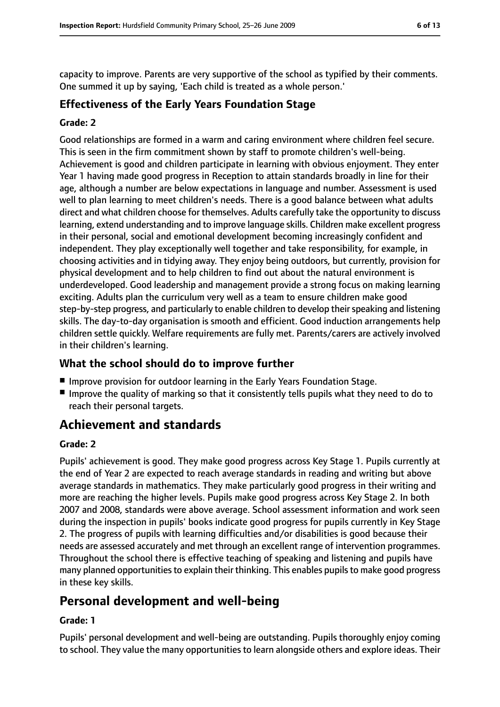capacity to improve. Parents are very supportive of the school as typified by their comments. One summed it up by saying, 'Each child is treated as a whole person.'

## **Effectiveness of the Early Years Foundation Stage**

#### **Grade: 2**

Good relationships are formed in a warm and caring environment where children feel secure. This is seen in the firm commitment shown by staff to promote children's well-being. Achievement is good and children participate in learning with obvious enjoyment. They enter Year 1 having made good progress in Reception to attain standards broadly in line for their age, although a number are below expectations in language and number. Assessment is used well to plan learning to meet children's needs. There is a good balance between what adults direct and what children choose for themselves. Adults carefully take the opportunity to discuss learning, extend understanding and to improve language skills. Children make excellent progress in their personal, social and emotional development becoming increasingly confident and independent. They play exceptionally well together and take responsibility, for example, in choosing activities and in tidying away. They enjoy being outdoors, but currently, provision for physical development and to help children to find out about the natural environment is underdeveloped. Good leadership and management provide a strong focus on making learning exciting. Adults plan the curriculum very well as a team to ensure children make good step-by-step progress, and particularly to enable children to develop their speaking and listening skills. The day-to-day organisation is smooth and efficient. Good induction arrangements help children settle quickly. Welfare requirements are fully met. Parents/carers are actively involved in their children's learning.

## **What the school should do to improve further**

- Improve provision for outdoor learning in the Early Years Foundation Stage.
- Improve the quality of marking so that it consistently tells pupils what they need to do to reach their personal targets.

# **Achievement and standards**

#### **Grade: 2**

Pupils' achievement is good. They make good progress across Key Stage 1. Pupils currently at the end of Year 2 are expected to reach average standards in reading and writing but above average standards in mathematics. They make particularly good progress in their writing and more are reaching the higher levels. Pupils make good progress across Key Stage 2. In both 2007 and 2008, standards were above average. School assessment information and work seen during the inspection in pupils' books indicate good progress for pupils currently in Key Stage 2. The progress of pupils with learning difficulties and/or disabilities is good because their needs are assessed accurately and met through an excellent range of intervention programmes. Throughout the school there is effective teaching of speaking and listening and pupils have many planned opportunities to explain their thinking. This enables pupils to make good progress in these key skills.

# **Personal development and well-being**

#### **Grade: 1**

Pupils' personal development and well-being are outstanding. Pupils thoroughly enjoy coming to school. They value the many opportunities to learn alongside others and explore ideas. Their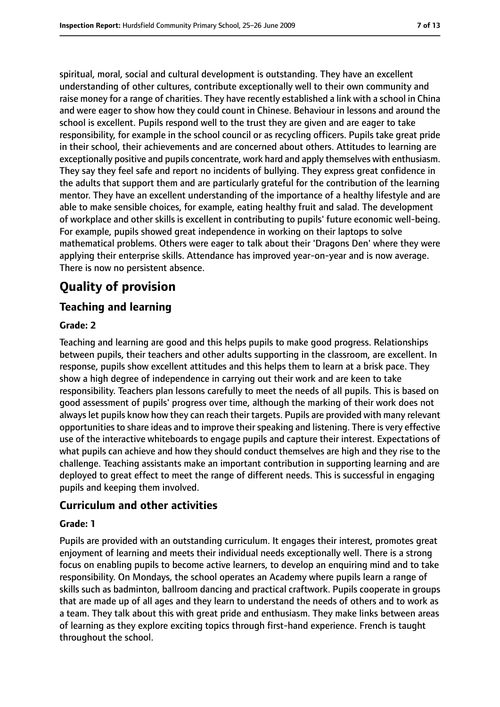spiritual, moral, social and cultural development is outstanding. They have an excellent understanding of other cultures, contribute exceptionally well to their own community and raise money for a range of charities. They have recently established a link with a school in China and were eager to show how they could count in Chinese. Behaviour in lessons and around the school is excellent. Pupils respond well to the trust they are given and are eager to take responsibility, for example in the school council or as recycling officers. Pupils take great pride in their school, their achievements and are concerned about others. Attitudes to learning are exceptionally positive and pupils concentrate, work hard and apply themselves with enthusiasm. They say they feel safe and report no incidents of bullying. They express great confidence in the adults that support them and are particularly grateful for the contribution of the learning mentor. They have an excellent understanding of the importance of a healthy lifestyle and are able to make sensible choices, for example, eating healthy fruit and salad. The development of workplace and other skills is excellent in contributing to pupils' future economic well-being. For example, pupils showed great independence in working on their laptops to solve mathematical problems. Others were eager to talk about their 'Dragons Den' where they were applying their enterprise skills. Attendance has improved year-on-year and is now average. There is now no persistent absence.

# **Quality of provision**

## **Teaching and learning**

#### **Grade: 2**

Teaching and learning are good and this helps pupils to make good progress. Relationships between pupils, their teachers and other adults supporting in the classroom, are excellent. In response, pupils show excellent attitudes and this helps them to learn at a brisk pace. They show a high degree of independence in carrying out their work and are keen to take responsibility. Teachers plan lessons carefully to meet the needs of all pupils. This is based on good assessment of pupils' progress over time, although the marking of their work does not always let pupils know how they can reach their targets. Pupils are provided with many relevant opportunities to share ideas and to improve their speaking and listening. There is very effective use of the interactive whiteboards to engage pupils and capture their interest. Expectations of what pupils can achieve and how they should conduct themselves are high and they rise to the challenge. Teaching assistants make an important contribution in supporting learning and are deployed to great effect to meet the range of different needs. This is successful in engaging pupils and keeping them involved.

## **Curriculum and other activities**

#### **Grade: 1**

Pupils are provided with an outstanding curriculum. It engages their interest, promotes great enjoyment of learning and meets their individual needs exceptionally well. There is a strong focus on enabling pupils to become active learners, to develop an enquiring mind and to take responsibility. On Mondays, the school operates an Academy where pupils learn a range of skills such as badminton, ballroom dancing and practical craftwork. Pupils cooperate in groups that are made up of all ages and they learn to understand the needs of others and to work as a team. They talk about this with great pride and enthusiasm. They make links between areas of learning as they explore exciting topics through first-hand experience. French is taught throughout the school.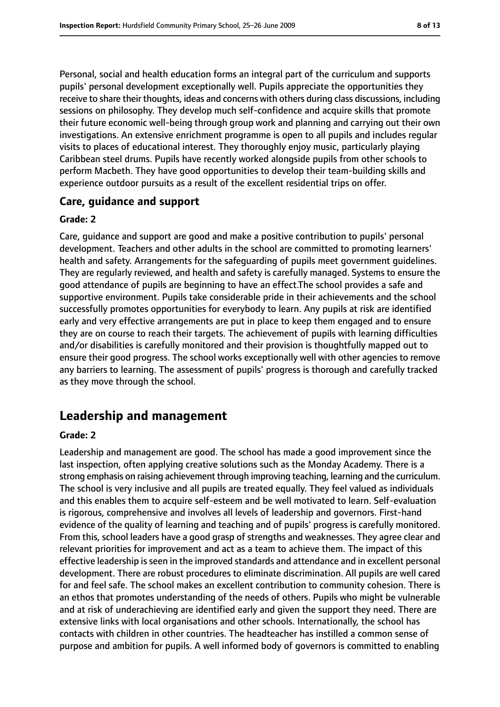Personal, social and health education forms an integral part of the curriculum and supports pupils' personal development exceptionally well. Pupils appreciate the opportunities they receive to share their thoughts, ideas and concerns with others during class discussions, including sessions on philosophy. They develop much self-confidence and acquire skills that promote their future economic well-being through group work and planning and carrying out their own investigations. An extensive enrichment programme is open to all pupils and includes regular visits to places of educational interest. They thoroughly enjoy music, particularly playing Caribbean steel drums. Pupils have recently worked alongside pupils from other schools to perform Macbeth. They have good opportunities to develop their team-building skills and experience outdoor pursuits as a result of the excellent residential trips on offer.

#### **Care, guidance and support**

#### **Grade: 2**

Care, guidance and support are good and make a positive contribution to pupils' personal development. Teachers and other adults in the school are committed to promoting learners' health and safety. Arrangements for the safeguarding of pupils meet government guidelines. They are regularly reviewed, and health and safety is carefully managed. Systems to ensure the good attendance of pupils are beginning to have an effect.The school provides a safe and supportive environment. Pupils take considerable pride in their achievements and the school successfully promotes opportunities for everybody to learn. Any pupils at risk are identified early and very effective arrangements are put in place to keep them engaged and to ensure they are on course to reach their targets. The achievement of pupils with learning difficulties and/or disabilities is carefully monitored and their provision is thoughtfully mapped out to ensure their good progress. The school works exceptionally well with other agencies to remove any barriers to learning. The assessment of pupils' progress is thorough and carefully tracked as they move through the school.

# **Leadership and management**

#### **Grade: 2**

Leadership and management are good. The school has made a good improvement since the last inspection, often applying creative solutions such as the Monday Academy. There is a strong emphasis on raising achievement through improving teaching, learning and the curriculum. The school is very inclusive and all pupils are treated equally. They feel valued as individuals and this enables them to acquire self-esteem and be well motivated to learn. Self-evaluation is rigorous, comprehensive and involves all levels of leadership and governors. First-hand evidence of the quality of learning and teaching and of pupils' progress is carefully monitored. From this, school leaders have a good grasp of strengths and weaknesses. They agree clear and relevant priorities for improvement and act as a team to achieve them. The impact of this effective leadership is seen in the improved standards and attendance and in excellent personal development. There are robust procedures to eliminate discrimination. All pupils are well cared for and feel safe. The school makes an excellent contribution to community cohesion. There is an ethos that promotes understanding of the needs of others. Pupils who might be vulnerable and at risk of underachieving are identified early and given the support they need. There are extensive links with local organisations and other schools. Internationally, the school has contacts with children in other countries. The headteacher has instilled a common sense of purpose and ambition for pupils. A well informed body of governors is committed to enabling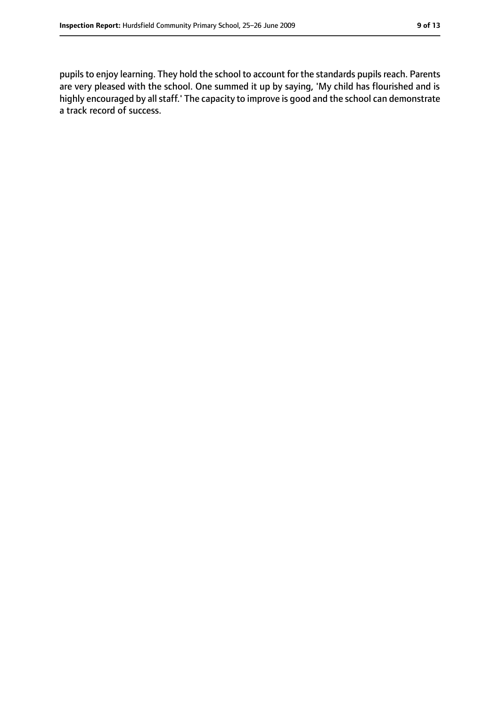pupils to enjoy learning. They hold the school to account for the standards pupils reach. Parents are very pleased with the school. One summed it up by saying, 'My child has flourished and is highly encouraged by all staff.' The capacity to improve is good and the school can demonstrate a track record of success.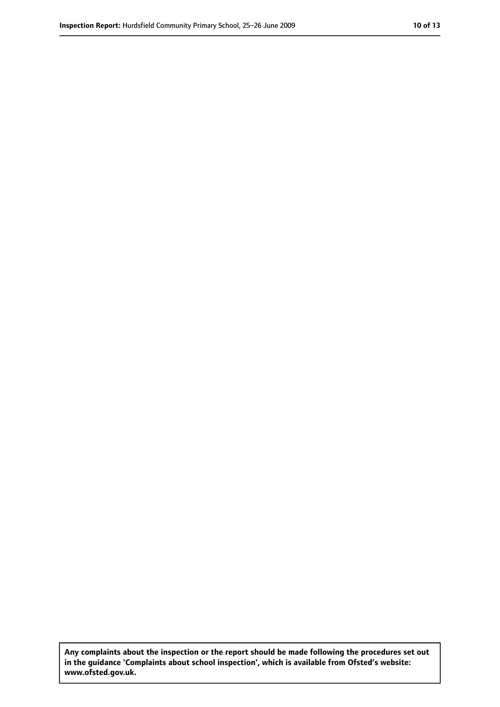**Any complaints about the inspection or the report should be made following the procedures set out in the guidance 'Complaints about school inspection', which is available from Ofsted's website: www.ofsted.gov.uk.**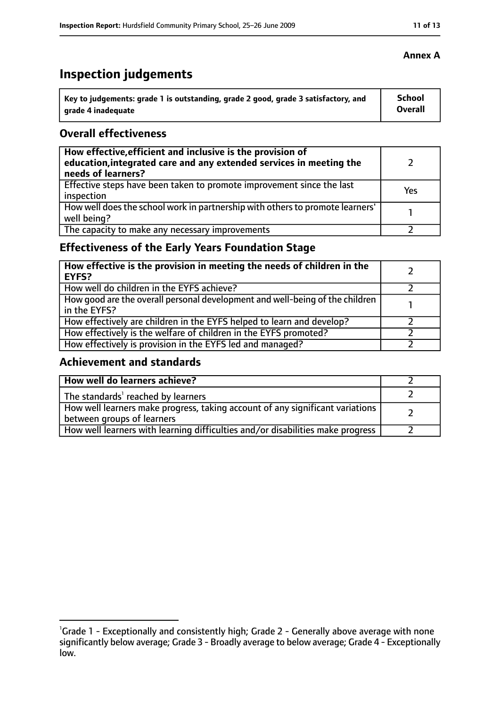# **Inspection judgements**

| Key to judgements: grade 1 is outstanding, grade 2 good, grade 3 satisfactory, and | School  |
|------------------------------------------------------------------------------------|---------|
| arade 4 inadequate                                                                 | Overall |

## **Overall effectiveness**

| How effective, efficient and inclusive is the provision of<br>education, integrated care and any extended services in meeting the<br>needs of learners? |     |
|---------------------------------------------------------------------------------------------------------------------------------------------------------|-----|
| Effective steps have been taken to promote improvement since the last<br>inspection                                                                     | Yes |
| How well does the school work in partnership with others to promote learners'<br>well being?                                                            |     |
| The capacity to make any necessary improvements                                                                                                         |     |

# **Effectiveness of the Early Years Foundation Stage**

| How effective is the provision in meeting the needs of children in the<br><b>EYFS?</b>       |  |
|----------------------------------------------------------------------------------------------|--|
| How well do children in the EYFS achieve?                                                    |  |
| How good are the overall personal development and well-being of the children<br>in the EYFS? |  |
| How effectively are children in the EYFS helped to learn and develop?                        |  |
| How effectively is the welfare of children in the EYFS promoted?                             |  |
| How effectively is provision in the EYFS led and managed?                                    |  |

## **Achievement and standards**

| How well do learners achieve?                                                                               |  |
|-------------------------------------------------------------------------------------------------------------|--|
| The standards <sup>1</sup> reached by learners                                                              |  |
| How well learners make progress, taking account of any significant variations<br>between groups of learners |  |
| How well learners with learning difficulties and/or disabilities make progress                              |  |

<sup>&</sup>lt;sup>1</sup>Grade 1 - Exceptionally and consistently high; Grade 2 - Generally above average with none significantly below average; Grade 3 - Broadly average to below average; Grade 4 - Exceptionally low.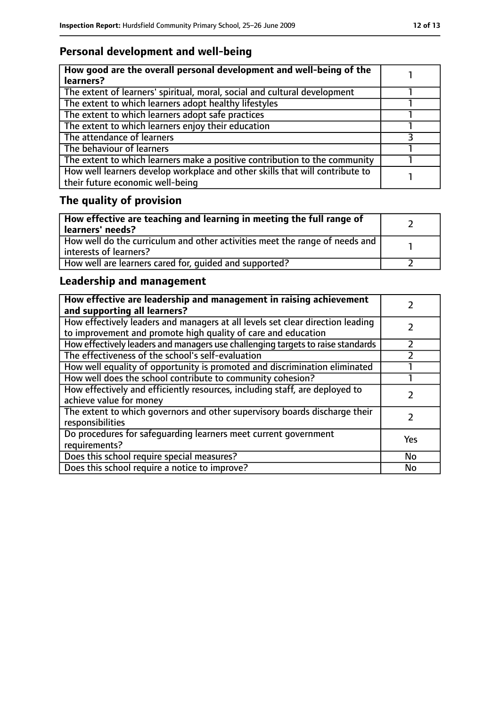# **Personal development and well-being**

| How good are the overall personal development and well-being of the<br>learners?                                 |  |
|------------------------------------------------------------------------------------------------------------------|--|
| The extent of learners' spiritual, moral, social and cultural development                                        |  |
| The extent to which learners adopt healthy lifestyles                                                            |  |
| The extent to which learners adopt safe practices                                                                |  |
| The extent to which learners enjoy their education                                                               |  |
| The attendance of learners                                                                                       |  |
| The behaviour of learners                                                                                        |  |
| The extent to which learners make a positive contribution to the community                                       |  |
| How well learners develop workplace and other skills that will contribute to<br>their future economic well-being |  |

# **The quality of provision**

| How effective are teaching and learning in meeting the full range of<br>learners' needs?              |  |
|-------------------------------------------------------------------------------------------------------|--|
| How well do the curriculum and other activities meet the range of needs and<br>interests of learners? |  |
| How well are learners cared for, quided and supported?                                                |  |

# **Leadership and management**

| How effective are leadership and management in raising achievement<br>and supporting all learners?                                              |     |
|-------------------------------------------------------------------------------------------------------------------------------------------------|-----|
| How effectively leaders and managers at all levels set clear direction leading<br>to improvement and promote high quality of care and education |     |
| How effectively leaders and managers use challenging targets to raise standards                                                                 |     |
| The effectiveness of the school's self-evaluation                                                                                               |     |
| How well equality of opportunity is promoted and discrimination eliminated                                                                      |     |
| How well does the school contribute to community cohesion?                                                                                      |     |
| How effectively and efficiently resources, including staff, are deployed to<br>achieve value for money                                          |     |
| The extent to which governors and other supervisory boards discharge their<br>responsibilities                                                  |     |
| Do procedures for safequarding learners meet current government<br>requirements?                                                                | Yes |
| Does this school require special measures?                                                                                                      | No  |
| Does this school require a notice to improve?                                                                                                   | No  |